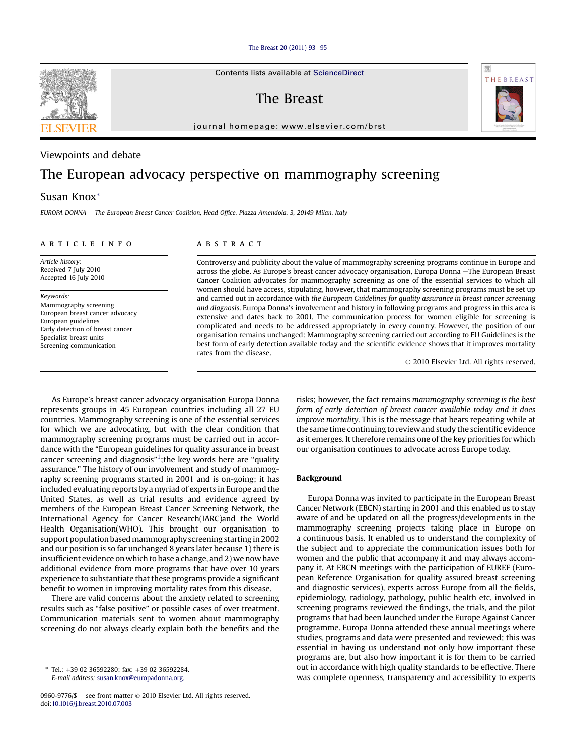[The Breast 20 \(2011\) 93](http://dx.doi.org/10.1016/j.breast.2010.07.003)-[95](http://dx.doi.org/10.1016/j.breast.2010.07.003)

Contents lists available at ScienceDirect

The Breast

journal homepage: [www.elsevier.com/brst](http://www.elsevier.com/brst)

## Viewpoints and debate

# The European advocacy perspective on mammography screening

## Susan Knox\*

EUROPA DONNA - The European Breast Cancer Coalition, Head Office, Piazza Amendola, 3, 20149 Milan, Italy

#### article info

Article history: Received 7 July 2010 Accepted 16 July 2010

#### Keywords:

Mammography screening European breast cancer advocacy European guidelines Early detection of breast cancer Specialist breast units Screening communication

### **ABSTRACT**

Controversy and publicity about the value of mammography screening programs continue in Europe and across the globe. As Europe's breast cancer advocacy organisation, Europa Donna -The European Breast Cancer Coalition advocates for mammography screening as one of the essential services to which all women should have access, stipulating, however, that mammography screening programs must be set up and carried out in accordance with the European Guidelines for quality assurance in breast cancer screening and diagnosis. Europa Donna's involvement and history in following programs and progress in this area is extensive and dates back to 2001. The communication process for women eligible for screening is complicated and needs to be addressed appropriately in every country. However, the position of our organisation remains unchanged: Mammography screening carried out according to EU Guidelines is the best form of early detection available today and the scientific evidence shows that it improves mortality rates from the disease.

2010 Elsevier Ltd. All rights reserved.

As Europe's breast cancer advocacy organisation Europa Donna represents groups in 45 European countries including all 27 EU countries. Mammography screening is one of the essential services for which we are advocating, but with the clear condition that mammography screening programs must be carried out in accordance with the "European guidelines for quality assurance in breast cancer screening and diagnosis"<sup>[1](#page-2-0)</sup>; the key words here are "quality assurance." The history of our involvement and study of mammography screening programs started in 2001 and is on-going; it has included evaluating reports by a myriad of experts in Europe and the United States, as well as trial results and evidence agreed by members of the European Breast Cancer Screening Network, the International Agency for Cancer Research(IARC)and the World Health Organisation(WHO). This brought our organisation to support population based mammography screening starting in 2002 and our position is so far unchanged 8 years later because 1) there is insufficient evidence onwhich to base a change, and 2) we now have additional evidence from more programs that have over 10 years experience to substantiate that these programs provide a significant benefit to women in improving mortality rates from this disease.

There are valid concerns about the anxiety related to screening results such as "false positive" or possible cases of over treatment. Communication materials sent to women about mammography screening do not always clearly explain both the benefits and the

risks; however, the fact remains mammography screening is the best form of early detection of breast cancer available today and it does improve mortality. This is the message that bears repeating while at the same time continuing to review and study the scientific evidence as it emerges. It therefore remains one of the key priorities for which our organisation continues to advocate across Europe today.

#### Background

Europa Donna was invited to participate in the European Breast Cancer Network (EBCN) starting in 2001 and this enabled us to stay aware of and be updated on all the progress/developments in the mammography screening projects taking place in Europe on a continuous basis. It enabled us to understand the complexity of the subject and to appreciate the communication issues both for women and the public that accompany it and may always accompany it. At EBCN meetings with the participation of EUREF (European Reference Organisation for quality assured breast screening and diagnostic services), experts across Europe from all the fields, epidemiology, radiology, pathology, public health etc. involved in screening programs reviewed the findings, the trials, and the pilot programs that had been launched under the Europe Against Cancer programme. Europa Donna attended these annual meetings where studies, programs and data were presented and reviewed; this was essential in having us understand not only how important these programs are, but also how important it is for them to be carried out in accordance with high quality standards to be effective. There was complete openness, transparency and accessibility to experts





Tel.: +39 02 36592280; fax: +39 02 36592284. E-mail address: [susan.knox@europadonna.org](mailto:susan.knox@europadonna.org).

<sup>0960-9776/\$ -</sup> see front matter  $\odot$  2010 Elsevier Ltd. All rights reserved. doi[:10.1016/j.breast.2010.07.003](http://dx.doi.org/10.1016/j.breast.2010.07.003)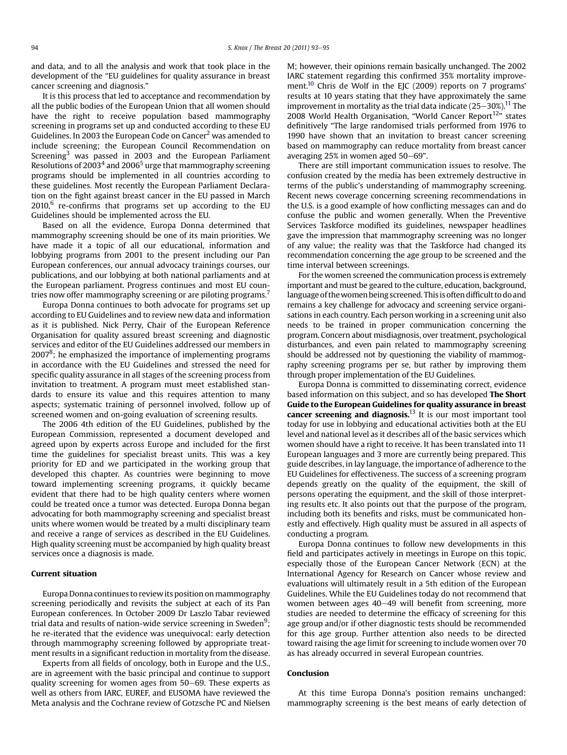and data, and to all the analysis and work that took place in the development of the "EU guidelines for quality assurance in breast cancer screening and diagnosis."

It is this process that led to acceptance and recommendation by all the public bodies of the European Union that all women should have the right to receive population based mammography screening in programs set up and conducted according to these EU Guidelines. In 2003 the European Code on Cancer<sup>2</sup> was amended to include screening; the European Council Recommendation on Screening $3$  was passed in 2003 and the European Parliament Resolutions of 2003<sup>[4](#page-2-0)</sup> and 2006<sup>[5](#page-2-0)</sup> urge that mammography screening programs should be implemented in all countries according to these guidelines. Most recently the European Parliament Declaration on the fight against breast cancer in the EU passed in March  $2010$ ,  $6$  re-confirms that programs set up according to the EU Guidelines should be implemented across the EU.

Based on all the evidence, Europa Donna determined that mammography screening should be one of its main priorities. We have made it a topic of all our educational, information and lobbying programs from 2001 to the present including our Pan European conferences, our annual advocacy trainings courses, our publications, and our lobbying at both national parliaments and at the European parliament. Progress continues and most EU countries now offer mammography screening or are piloting programs.<sup>7</sup>

Europa Donna continues to both advocate for programs set up according to EU Guidelines and to review new data and information as it is published. Nick Perry, Chair of the European Reference Organisation for quality assured breast screening and diagnostic services and editor of the EU Guidelines addressed our members in 2007 $\mathrm{^8}$ ; he emphasized the importance of implementing programs in accordance with the EU Guidelines and stressed the need for specific quality assurance in all stages of the screening process from invitation to treatment. A program must meet established standards to ensure its value and this requires attention to many aspects; systematic training of personnel involved, follow up of screened women and on-going evaluation of screening results.

The 2006 4th edition of the EU Guidelines, published by the European Commission, represented a document developed and agreed upon by experts across Europe and included for the first time the guidelines for specialist breast units. This was a key priority for ED and we participated in the working group that developed this chapter. As countries were beginning to move toward implementing screening programs, it quickly became evident that there had to be high quality centers where women could be treated once a tumor was detected. Europa Donna began advocating for both mammography screening and specialist breast units where women would be treated by a multi disciplinary team and receive a range of services as described in the EU Guidelines. High quality screening must be accompanied by high quality breast services once a diagnosis is made.

### Current situation

Europa Donna continues to reviewits position on mammography screening periodically and revisits the subject at each of its Pan European conferences. In October 2009 Dr Laszlo Tabar reviewed trial data and results of nation-wide service screening in Sweden $^9;$  $^9;$  $^9;$ he re-iterated that the evidence was unequivocal: early detection through mammography screening followed by appropriate treatment results in a significant reduction in mortality from the disease.

Experts from all fields of oncology, both in Europe and the U.S., are in agreement with the basic principal and continue to support quality screening for women ages from 50-69. These experts as well as others from IARC, EUREF, and EUSOMA have reviewed the Meta analysis and the Cochrane review of Gotzsche PC and Nielsen M; however, their opinions remain basically unchanged. The 2002 IARC statement regarding this confirmed 35% mortality improve-ment.<sup>[10](#page-2-0)</sup> Chris de Wolf in the EJC (2009) reports on 7 programs' results at 10 years stating that they have approximately the same improvement in mortality as the trial data indicate  $(25-30<sup>2</sup>)$ .<sup>11</sup> The 2008 World Health Organisation, "World Cancer Report $12$ " states definitively "The large randomised trials performed from 1976 to 1990 have shown that an invitation to breast cancer screening based on mammography can reduce mortality from breast cancer averaging  $25\%$  in women aged  $50-69$ ".

There are still important communication issues to resolve. The confusion created by the media has been extremely destructive in terms of the public's understanding of mammography screening. Recent news coverage concerning screening recommendations in the U.S. is a good example of how conflicting messages can and do confuse the public and women generally. When the Preventive Services Taskforce modified its guidelines, newspaper headlines gave the impression that mammography screening was no longer of any value; the reality was that the Taskforce had changed its recommendation concerning the age group to be screened and the time interval between screenings.

For the women screened the communication process is extremely important and must be geared to the culture, education, background, language of the women being screened. This is often difficult to do and remains a key challenge for advocacy and screening service organisations in each country. Each person working in a screening unit also needs to be trained in proper communication concerning the program. Concern about misdiagnosis, over treatment, psychological disturbances, and even pain related to mammography screening should be addressed not by questioning the viability of mammography screening programs per se, but rather by improving them through proper implementation of the EU Guidelines.

Europa Donna is committed to disseminating correct, evidence based information on this subject, and so has developed The Short Guide to the European Guidelines for quality assurance in breast cancer screening and diagnosis.<sup>[13](#page-2-0)</sup> It is our most important tool today for use in lobbying and educational activities both at the EU level and national level as it describes all of the basic services which women should have a right to receive. It has been translated into 11 European languages and 3 more are currently being prepared. This guide describes, in lay language, the importance of adherence to the EU Guidelines for effectiveness. The success of a screening program depends greatly on the quality of the equipment, the skill of persons operating the equipment, and the skill of those interpreting results etc. It also points out that the purpose of the program, including both its benefits and risks, must be communicated honestly and effectively. High quality must be assured in all aspects of conducting a program.

Europa Donna continues to follow new developments in this field and participates actively in meetings in Europe on this topic, especially those of the European Cancer Network (ECN) at the International Agency for Research on Cancer whose review and evaluations will ultimately result in a 5th edition of the European Guidelines. While the EU Guidelines today do not recommend that women between ages 40-49 will benefit from screening, more studies are needed to determine the efficacy of screening for this age group and/or if other diagnostic tests should be recommended for this age group. Further attention also needs to be directed toward raising the age limit for screening to include women over 70 as has already occurred in several European countries.

#### Conclusion

At this time Europa Donna's position remains unchanged: mammography screening is the best means of early detection of